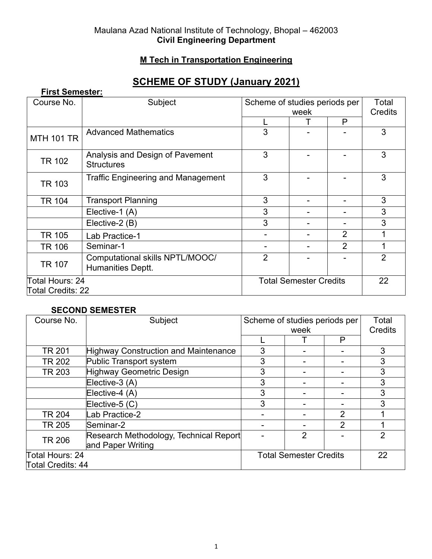#### Maulana Azad National Institute of Technology, Bhopal – 462003 **Civil Engineering Department**

## **M Tech in Transportation Engineering**

# **SCHEME OF STUDY (January 2021)**

| <b>First Semester:</b>                      |                                                      |                               |   |                |                |
|---------------------------------------------|------------------------------------------------------|-------------------------------|---|----------------|----------------|
| Course No.                                  | Subject                                              | Scheme of studies periods per |   |                | Total          |
|                                             |                                                      | week                          |   | <b>Credits</b> |                |
|                                             |                                                      |                               | т | P              |                |
| <b>MTH 101 TR</b>                           | <b>Advanced Mathematics</b>                          | 3                             |   |                | 3              |
| <b>TR 102</b>                               | Analysis and Design of Pavement<br><b>Structures</b> | 3                             |   |                | 3              |
| <b>TR 103</b>                               | <b>Traffic Engineering and Management</b>            | 3                             |   |                | 3              |
| <b>TR 104</b>                               | <b>Transport Planning</b>                            | 3                             |   |                | 3              |
|                                             | Elective-1 (A)                                       | 3                             |   |                | 3              |
|                                             | Elective-2 (B)                                       | 3                             |   |                | 3              |
| TR 105                                      | Lab Practice-1                                       |                               |   | $\overline{2}$ |                |
| <b>TR 106</b>                               | Seminar-1                                            |                               |   | $\overline{2}$ | 1              |
| <b>TR 107</b>                               | Computational skills NPTL/MOOC/<br>Humanities Deptt. | $\overline{2}$                |   |                | $\overline{2}$ |
| Total Hours: 24<br><b>Total Credits: 22</b> |                                                      | <b>Total Semester Credits</b> |   |                | 22             |

#### **SECOND SEMESTER**

| Course No.        | Subject                                                     | Scheme of studies periods per |                | Total          |                |
|-------------------|-------------------------------------------------------------|-------------------------------|----------------|----------------|----------------|
|                   |                                                             | week                          |                | Credits        |                |
|                   |                                                             |                               |                | P              |                |
| <b>TR 201</b>     | <b>Highway Construction and Maintenance</b>                 | 3                             |                |                | 3              |
| <b>TR 202</b>     | Public Transport system                                     | 3                             |                |                | 3              |
| <b>TR 203</b>     | Highway Geometric Design                                    | 3                             |                |                | 3              |
|                   | Elective-3 (A)                                              | 3                             |                |                | 3              |
|                   | Elective-4 (A)                                              | 3                             |                |                | 3              |
|                   | Elective-5 $(C)$                                            | 3                             |                |                | 3              |
| <b>TR 204</b>     | ab Practice-2                                               |                               |                | 2              |                |
| TR 205            | Seminar-2                                                   |                               |                | $\overline{2}$ |                |
| <b>TR 206</b>     | Research Methodology, Technical Report<br>and Paper Writing |                               | $\overline{2}$ |                | $\overline{2}$ |
| Total Hours: 24   |                                                             | <b>Total Semester Credits</b> |                |                | 22             |
| Total Credits: 44 |                                                             |                               |                |                |                |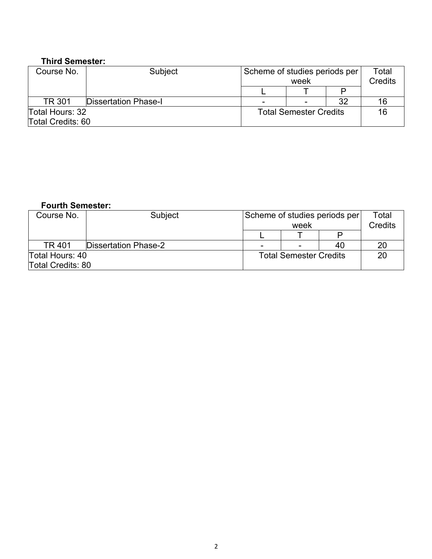#### **Third Semester:**

| Course No.        | Subject                     | Scheme of studies periods per | week |    | Total<br>Credits |
|-------------------|-----------------------------|-------------------------------|------|----|------------------|
|                   |                             |                               |      |    |                  |
| <b>TR 301</b>     | <b>Dissertation Phase-I</b> |                               | -    | 32 | 16               |
| Total Hours: 32   |                             | <b>Total Semester Credits</b> |      |    | 16               |
| Total Credits: 60 |                             |                               |      |    |                  |

### **Fourth Semester:**

| Course No.               | <b>Subject</b>              | Scheme of studies periods per |  |    | Total   |
|--------------------------|-----------------------------|-------------------------------|--|----|---------|
|                          |                             | week                          |  |    | Credits |
|                          |                             |                               |  |    |         |
| TR 401                   | <b>Dissertation Phase-2</b> | $\,$                          |  | 40 | 20      |
| Total Hours: 40          |                             | <b>Total Semester Credits</b> |  |    | 20      |
| <b>Total Credits: 80</b> |                             |                               |  |    |         |